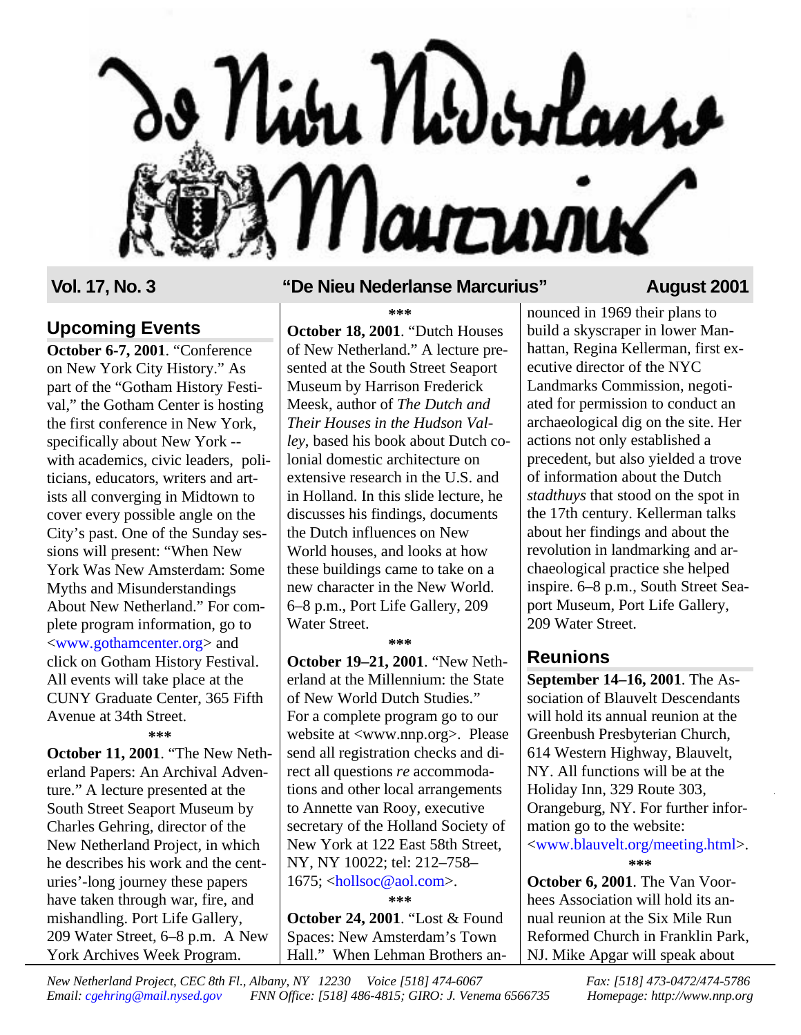

#### **Upcoming Events**

**October 6-7, 2001**. "Conference on New York City History." As part of the "Gotham History Festival," the Gotham Center is hosting the first conference in New York, specifically about New York - with academics, civic leaders, politicians, educators, writers and artists all converging in Midtown to cover every possible angle on the City's past. One of the Sunday sessions will present: "When New York Was New Amsterdam: Some Myths and Misunderstandings About New Netherland." For complete program information, go to [<www.gothamcenter.org>](http://www.gothamcenter.org) and click on Gotham History Festival. All events will take place at the CUNY Graduate Center, 365 Fifth Avenue at 34th Street.

**\*\*\***

**October 11, 2001**. "The New Netherland Papers: An Archival Adventure." A lecture presented at the South Street Seaport Museum by Charles Gehring, director of the New Netherland Project, in which he describes his work and the centuries'-long journey these papers have taken through war, fire, and mishandling. Port Life Gallery, 209 Water Street, 6–8 p.m. A New York Archives Week Program.

#### **Vol. 17, No. 3 "De Nieu Nederlanse Marcurius" August 2001**

**\*\*\***

**October 18, 2001**. "Dutch Houses of New Netherland." A lecture presented at the South Street Seaport Museum by Harrison Frederick Meesk, author of *The Dutch and Their Houses in the Hudson Valley*, based his book about Dutch colonial domestic architecture on extensive research in the U.S. and in Holland. In this slide lecture, he discusses his findings, documents the Dutch influences on New World houses, and looks at how these buildings came to take on a new character in the New World. 6–8 p.m., Port Life Gallery, 209 Water Street.

**\*\*\***

**October 19–21, 2001**. "New Netherland at the Millennium: the State of New World Dutch Studies." For a complete program go to our website at <www.nnp.org>. Please send all registration checks and direct all questions *re* accommodations and other local arrangements to Annette van Rooy, executive secretary of the Holland Society of New York at 122 East 58th Street, NY, NY 10022; tel: 212–758– 1675; [<hollsoc@aol.com>.](mailto:hollsoc@aol.com) **\*\*\***

**October 24, 2001**. "Lost & Found Spaces: New Amsterdam's Town Hall." When Lehman Brothers announced in 1969 their plans to build a skyscraper in lower Manhattan, Regina Kellerman, first executive director of the NYC Landmarks Commission, negotiated for permission to conduct an archaeological dig on the site. Her actions not only established a precedent, but also yielded a trove of information about the Dutch *stadthuys* that stood on the spot in the 17th century. Kellerman talks about her findings and about the revolution in landmarking and archaeological practice she helped inspire. 6–8 p.m., South Street Seaport Museum, Port Life Gallery, 209 Water Street.

## **Reunions**

**September 14–16, 2001**. The Association of Blauvelt Descendants will hold its annual reunion at the Greenbush Presbyterian Church, 614 Western Highway, Blauvelt, NY. All functions will be at the Holiday Inn, 329 Route 303, Orangeburg, NY. For further information go to the website: [<www.blauvelt.org/meeting.html>](http://www.blauvelt.org/meeting.html). **\*\*\***

**October 6, 2001**. The Van Voorhees Association will hold its annual reunion at the Six Mile Run Reformed Church in Franklin Park, NJ. Mike Apgar will speak about

*New Netherland Project, CEC 8th Fl., Albany, NY 12230 Voice [518] 474-6067 Fax: [518] 473-0472/474-5786 Email: [cgehring@mail.nysed.gov](mailto:cgehring@mail.nysed.gov) FNN Office: [518] 486-4815; GIRO: J. Venema 6566735 Homepage: http://www.nnp.org*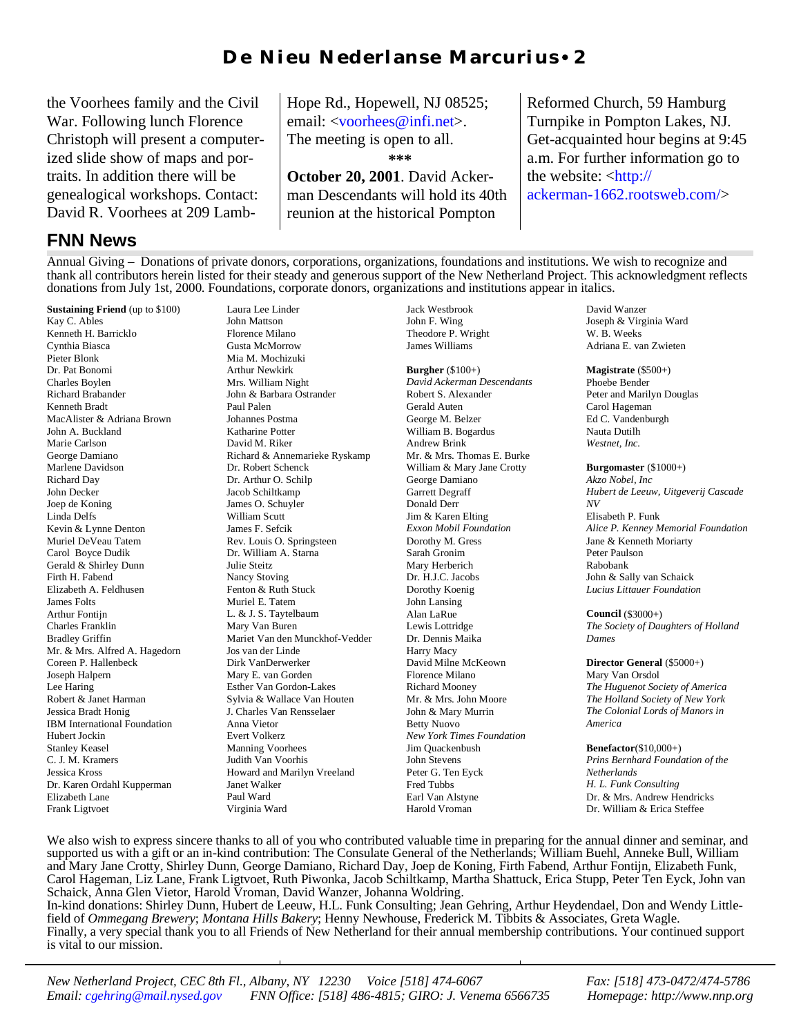## D e N i eu N eder l an s e M ar curius • 2

the Voorhees family and the Civil War. Following lunch Florence Christoph will present a computerized slide show of maps and portraits. In addition there will be genealogical workshops. Contact: David R. Voorhees at 209 Lamb-

#### **FNN News**

Hope Rd., Hopewell, NJ 08525; email: [<voorhees@infi.net>](mailto:vorhees@infi.net). The meeting is open to all. **\*\*\***

**October 20, 2001**. David Ackerman Descendants will hold its 40th reunion at the historical Pompton

Reformed Church, 59 Hamburg Turnpike in Pompton Lakes, NJ. Get-acquainted hour begins at 9:45 a.m. For further information go to the website: [<http://](http://ackerman-1662.rootsweb.com) [ackerman-1662.rootsweb.com/>](http://ackerman-1662.rootsweb.com)

Annual Giving – Donations of private donors, corporations, organizations, foundations and institutions. We wish to recognize and thank all contributors herein listed for their steady and generous support of the New Netherland Project. This acknowledgment reflects donations from July 1st, 2000. Foundations, corporate donors, organizations and institutions appear in italics.

**Sustaining Friend** (up to \$100) Kay C. Ables Kenneth H. Barricklo Cynthia Biasca Pieter Blonk Dr. Pat Bonomi Charles Boylen Richard Brabander Kenneth Bradt MacAlister & Adriana Brown John A. Buckland Marie Carlson George Damiano Marlene Davidson Richard Day John Decker Joep de Koning Linda Delfs Kevin & Lynne Denton Muriel DeVeau Tatem Carol Boyce Dudik Gerald & Shirley Dunn Firth H. Fabend Elizabeth A. Feldhusen James Folts Arthur Fontijn Charles Franklin Bradley Griffin Mr. & Mrs. Alfred A. Hagedorn Coreen P. Hallenbeck Joseph Halpern Lee Haring Robert & Janet Harman Jessica Bradt Honig IBM International Foundation Hubert Jockin Stanley Keasel C. J. M. Kramers Jessica Kross Dr. Karen Ordahl Kupperman Elizabeth Lane Frank Ligtvoet

Laura Lee Linder John Mattson Florence Milano Gusta McMorrow Mia M. Mochizuki Arthur Newkirk Mrs. William Night John & Barbara Ostrander Paul Palen Johannes Postma Katharine Potter David M. Riker Richard & Annemarieke Ryskamp Dr. Robert Schenck Dr. Arthur O. Schilp Jacob Schiltkamp James O. Schuyler William Scutt James F. Sefcik Rev. Louis O. Springsteen Dr. William A. Starna Julie Steitz Nancy Stoving Fenton & Ruth Stuck Muriel E. Tatem L. & J. S. Taytelbaum Mary Van Buren Mariet Van den Munckhof-Vedder Jos van der Linde Dirk VanDerwerker Mary E. van Gorden Esther Van Gordon-Lakes Sylvia & Wallace Van Houten J. Charles Van Rensselaer Anna Vietor Evert Volkerz Manning Voorhees Judith Van Voorhis Howard and Marilyn Vreeland Janet Walker Paul Ward Virginia Ward

Jack Westbrook John F. Wing Theodore P. Wright James Williams

**Burgher** (\$100+) *David Ackerman Descendants* Robert S. Alexander Gerald Auten George M. Belzer William B. Bogardus Andrew Brink Mr. & Mrs. Thomas E. Burke William & Mary Jane Crotty George Damiano Garrett Degraff Donald Derr Jim & Karen Elting *Exxon Mobil Foundation* Dorothy M. Gress Sarah Gronim Mary Herberich Dr. H.J.C. Jacobs Dorothy Koenig John Lansing Alan LaRue Lewis Lottridge Dr. Dennis Maika Harry Macy David Milne McKeown Florence Milano Richard Mooney Mr. & Mrs. John Moore John & Mary Murrin Betty Nuovo *New York Times Foundation* Jim Quackenbush John Stevens Peter G. Ten Eyck Fred Tubbs Earl Van Alstyne Harold Vroman

David Wanzer Joseph & Virginia Ward W. B. Weeks Adriana E. van Zwieten

**Magistrate** (\$500+)

Phoebe Bender Peter and Marilyn Douglas Carol Hageman Ed C. Vandenburgh Nauta Dutilh *Westnet, Inc.*

**Burgomaster** (\$1000+)

*Akzo Nobel, Inc Hubert de Leeuw, Uitgeverij Cascade NV* Elisabeth P. Funk *Alice P. Kenney Memorial Foundation* Jane & Kenneth Moriarty Peter Paulson Rabobank John & Sally van Schaick *Lucius Littauer Foundation*

**Council** (\$3000+)

*The Society of Daughters of Holland Dames*

**Director General** (\$5000+)

Mary Van Orsdol *The Huguenot Society of America The Holland Society of New York The Colonial Lords of Manors in America*

**Benefactor**(\$10,000+)

*Prins Bernhard Foundation of the Netherlands H. L. Funk Consulting* Dr. & Mrs. Andrew Hendricks Dr. William & Erica Steffee

We also wish to express sincere thanks to all of you who contributed valuable time in preparing for the annual dinner and seminar, and supported us with a gift or an in-kind contribution: The Consulate General of the Netherlands; William Buehl, Anneke Bull, William and Mary Jane Crotty, Shirley Dunn, George Damiano, Richard Day, Joep de Koning, Firth Fabend, Arthur Fontijn, Elizabeth Funk, Carol Hageman, Liz Lane, Frank Ligtvoet, Ruth Piwonka, Jacob Schiltkamp, Martha Shattuck, Erica Stupp, Peter Ten Eyck, John van Schaick, Anna Glen Vietor, Harold Vroman, David Wanzer, Johanna Woldring. In-kind donations: Shirley Dunn, Hubert de Leeuw, H.L. Funk Consulting; Jean Gehring, Arthur Heydendael, Don and Wendy Littlefield of *Ommegang Brewery*; *Montana Hills Bakery*; Henny Newhouse, Frederick M. Tibbits & Associates, Greta Wagle. Finally, a very special thank you to all Friends of New Netherland for their annual membership contributions. Your continued support is vital to our mission.

*New Netherland Project, CEC 8th Fl., Albany, NY 12230 Voice [518] 474-6067 Fax: [518] 473-0472/474-5786 Email: [cgehring@mail.nysed.gov](mailto:cgehring@mail.nysed.gov) FNN Office: [518] 486-4815; GIRO: J. Venema 6566735 Homepage: http://www.nnp.org*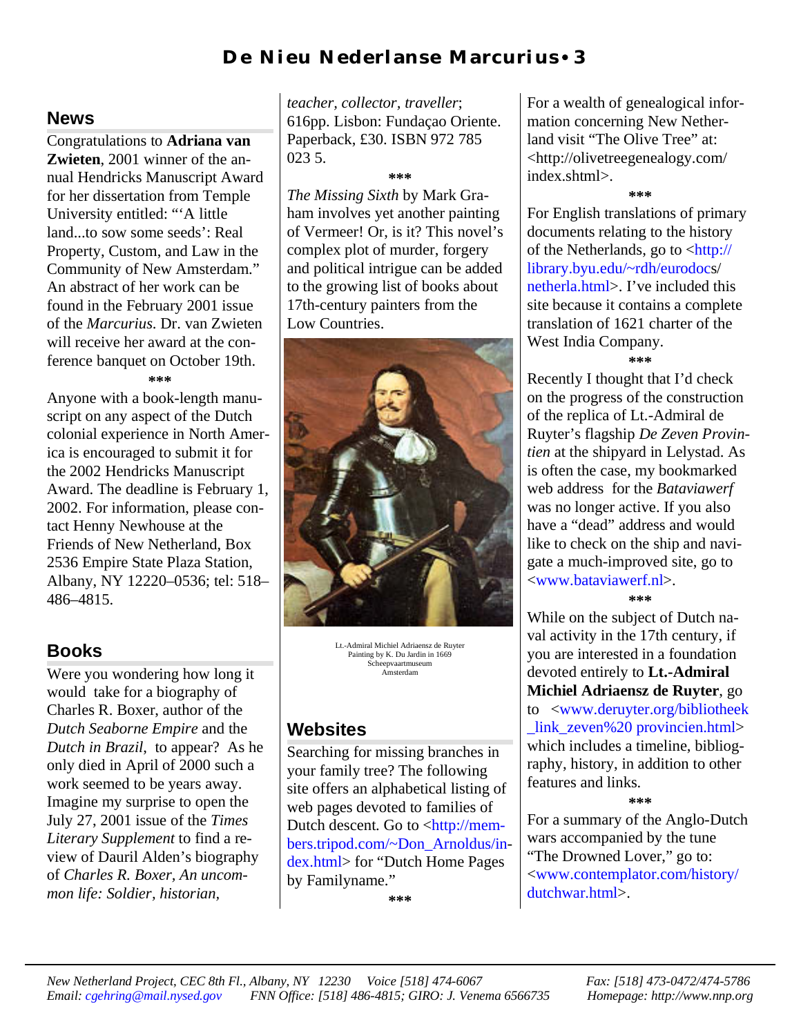# D e N i eu N eder l an s e M ar curius • 3

#### **News**

Congratulations to **Adriana van Zwieten**, 2001 winner of the annual Hendricks Manuscript Award for her dissertation from Temple University entitled: "'A little land...to sow some seeds': Real Property, Custom, and Law in the Community of New Amsterdam." An abstract of her work can be found in the February 2001 issue of the *Marcurius*. Dr. van Zwieten will receive her award at the conference banquet on October 19th. **\*\*\***

Anyone with a book-length manuscript on any aspect of the Dutch colonial experience in North America is encouraged to submit it for the 2002 Hendricks Manuscript Award. The deadline is February 1, 2002. For information, please contact Henny Newhouse at the Friends of New Netherland, Box 2536 Empire State Plaza Station, Albany, NY 12220–0536; tel: 518– 486–4815.

## **Books**

Were you wondering how long it would take for a biography of Charles R. Boxer, author of the *Dutch Seaborne Empire* and the *Dutch in Brazil*, to appear? As he only died in April of 2000 such a work seemed to be years away. Imagine my surprise to open the July 27, 2001 issue of the *Times Literary Supplement* to find a review of Dauril Alden's biography of *Charles R. Boxer, An uncommon life: Soldier, historian,*

*teacher, collector, traveller*; 616pp. Lisbon: Fundaçao Oriente. Paperback, £30. ISBN 972 785 023 5.

#### **\*\*\***

*The Missing Sixth* by Mark Graham involves yet another painting of Vermeer! Or, is it? This novel's complex plot of murder, forgery and political intrigue can be added to the growing list of books about 17th-century painters from the Low Countries.



Lt.-Admiral Michiel Adriaensz de Ruyter Painting by K. Du Jardin in 1669 Scheepvaartmuseum Amsterdam

#### **Websites**

Searching for missing branches in your family tree? The following site offers an alphabetical listing of web pages devoted to families of Dutch descent. Go to <http://mem[bers.tripod.com/~Don\\_Arnoldus/in](http://members.tripod.com/~Don_Arnoldus/index.html)dex.html> for "Dutch Home Pages by Familyname."

**\*\*\***

For a wealth of genealogical information concerning New Netherland visit "The Olive Tree" at: [<http://olivetreegenealogy.com/](http:/olivetreegenealogy.com/index.shtml) index.shtml>.

**\*\*\***

For English translations of primary documents relating to the history of the Netherlands, go to [<http://](http://library.byu.edu/~rdh/eurodocs/netherla.html) [library.byu.edu/~rdh/eurodocs/](http://library.byu.edu/~rdh/eurodocs/netherla.html) [netherla.html>](http://library.byu.edu/~rdh/eurodocs/netherla.html). I've included this site because it contains a complete translation of 1621 charter of the West India Company.

**\*\*\***

Recently I thought that I'd check on the progress of the construction of the replica of Lt.-Admiral de Ruyter's flagship *De Zeven Provintien* at the shipyard in Lelystad. As is often the case, my bookmarked web address for the *Bataviawerf* was no longer active. If you also have a "dead" address and would like to check on the ship and navigate a much-improved site, go to [<www.bataviawerf.nl>](http://www.bataviawerf.nl). **\*\*\***

While on the subject of Dutch naval activity in the 17th century, if you are interested in a foundation devoted entirely to **Lt.-Admiral Michiel Adriaensz de Ruyter**, go [to <www.deruyter.org/bibliotheek](http://www.deruyter.org/bibliotheek_link_zeven%20provincien.html) link zeven%20 provincien.html> which includes a timeline, bibliography, history, in addition to other features and links.

**\*\*\***

For a summary of the Anglo-Dutch wars accompanied by the tune "The Drowned Lover," go to: [<www.contemplator.com/history/](http://www.contemplator.com/history/dutchwar.html) dutchwar.html>.